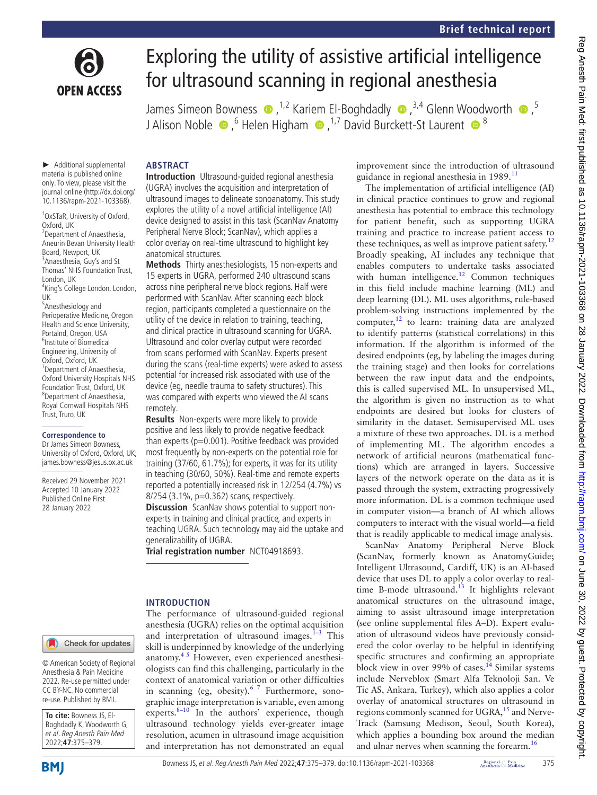

# Exploring the utility of assistive artificial intelligence for ultrasound scanning in regional anesthesia

JamesSimeon Bowness  $\bullet$  ,<sup>1,2</sup> Kariem El-Boghdadly  $\bullet$  ,<sup>3,4</sup> Glenn Woodworth  $\bullet$  ,<sup>5</sup> JAlison Noble  $\bullet$  ,  $^6$  Helen Higham  $\bullet$  ,  $^{1,7}$  David Burckett-St Laurent  $\bullet$   $^8$ 

► Additional supplemental material is published online only. To view, please visit the journal online ([http://dx.doi.org/](http://dx.doi.org/10.1136/rapm-2021-103368) [10.1136/rapm-2021-103368\)](http://dx.doi.org/10.1136/rapm-2021-103368).

1 OxSTaR, University of Oxford, Oxford, UK

<sup>2</sup> Department of Anaesthesia, Aneurin Bevan University Health Board, Newport, UK <sup>3</sup> Anaesthesia, Guy's and St Thomas' NHS Foundation Trust, London, UK 4 King's College London, London, UK 5 Anesthesiology and Perioperative Medicine, Oregon Health and Science University, Portalnd, Oregon, USA 6 Institute of Biomedical Engineering, University of Oxford, Oxford, UK 7 Department of Anaesthesia, Oxford University Hospitals NHS Foundation Trust, Oxford, UK 8 Department of Anaesthesia, Royal Cornwall Hospitals NHS Trust, Truro, UK

#### **Correspondence to**

Dr James Simeon Bowness, University of Oxford, Oxford, UK; james.bowness@jesus.ox.ac.uk

Received 29 November 2021 Accepted 10 January 2022 Published Online First 28 January 2022

## **ABSTRACT**

**Introduction** Ultrasound-guided regional anesthesia (UGRA) involves the acquisition and interpretation of ultrasound images to delineate sonoanatomy. This study explores the utility of a novel artificial intelligence (AI) device designed to assist in this task (ScanNav Anatomy Peripheral Nerve Block; ScanNav), which applies a color overlay on real-time ultrasound to highlight key anatomical structures.

**Methods** Thirty anesthesiologists, 15 non-experts and 15 experts in UGRA, performed 240 ultrasound scans across nine peripheral nerve block regions. Half were performed with ScanNav. After scanning each block region, participants completed a questionnaire on the utility of the device in relation to training, teaching, and clinical practice in ultrasound scanning for UGRA. Ultrasound and color overlay output were recorded from scans performed with ScanNav. Experts present during the scans (real-time experts) were asked to assess potential for increased risk associated with use of the device (eg, needle trauma to safety structures). This was compared with experts who viewed the AI scans remotely.

**Results** Non-experts were more likely to provide positive and less likely to provide negative feedback than experts ( $p=0.001$ ). Positive feedback was provided most frequently by non-experts on the potential role for training (37/60, 61.7%); for experts, it was for its utility in teaching (30/60, 50%). Real-time and remote experts reported a potentially increased risk in 12/254 (4.7%) vs 8/254 (3.1%, p=0.362) scans, respectively.

**Discussion** ScanNav shows potential to support nonexperts in training and clinical practice, and experts in teaching UGRA. Such technology may aid the uptake and generalizability of UGRA.

**Trial registration number** <NCT04918693>.

## **INTRODUCTION**

The performance of ultrasound-guided regional anesthesia (UGRA) relies on the optimal acquisition and interpretation of ultrasound images. $1-3$  This skill is underpinned by knowledge of the underlying anatomy[.4 5](#page-4-1) However, even experienced anesthesiologists can find this challenging, particularly in the context of anatomical variation or other difficulties in scanning (eg, obesity). $67$  Furthermore, sonographic image interpretation is variable, even among experts. $8-10$  In the authors' experience, though ultrasound technology yields ever-greater image resolution, acumen in ultrasound image acquisition and interpretation has not demonstrated an equal

improvement since the introduction of ultrasound guidance in regional anesthesia in 1989.<sup>11</sup>

The implementation of artificial intelligence (AI) in clinical practice continues to grow and regional anesthesia has potential to embrace this technology for patient benefit, such as supporting UGRA training and practice to increase patient access to these techniques, as well as improve patient safety.<sup>[12](#page-4-5)</sup> Broadly speaking, AI includes any technique that enables computers to undertake tasks associated with human intelligence.<sup>[12](#page-4-5)</sup> Common techniques in this field include machine learning (ML) and deep learning (DL). ML uses algorithms, rule-based problem-solving instructions implemented by the computer, $12$  to learn: training data are analyzed to identify patterns (statistical correlations) in this information. If the algorithm is informed of the desired endpoints (eg, by labeling the images during the training stage) and then looks for correlations between the raw input data and the endpoints, this is called supervised ML. In unsupervised ML, the algorithm is given no instruction as to what endpoints are desired but looks for clusters of similarity in the dataset. Semisupervised ML uses a mixture of these two approaches. DL is a method of implementing ML. The algorithm encodes a network of artificial neurons (mathematical functions) which are arranged in layers. Successive layers of the network operate on the data as it is passed through the system, extracting progressively more information. DL is a common technique used in computer vision—a branch of AI which allows computers to interact with the visual world—a field that is readily applicable to medical image analysis.

ScanNav Anatomy Peripheral Nerve Block (ScanNav, formerly known as AnatomyGuide; Intelligent Ultrasound, Cardiff, UK) is an AI-based device that uses DL to apply a color overlay to realtime B-mode ultrasound.<sup>13</sup> It highlights relevant anatomical structures on the ultrasound image, aiming to assist ultrasound image interpretation (see [online supplemental files A–D\)](https://dx.doi.org/10.1136/rapm-2021-103368). Expert evaluation of ultrasound videos have previously considered the color overlay to be helpful in identifying specific structures and confirming an appropriate block view in over 99% of cases.<sup>[14](#page-4-7)</sup> Similar systems include Nerveblox (Smart Alfa Teknoloji San. Ve Tic AS, Ankara, Turkey), which also applies a color overlay of anatomical structures on ultrasound in regions commonly scanned for UGRA,<sup>15</sup> and Nerve-Track (Samsung Medison, Seoul, South Korea), which applies a bounding box around the median and ulnar nerves when scanning the forearm.<sup>[16](#page-4-9)</sup>

© American Society of Regional Anesthesia & Pain Medicine 2022. Re-use permitted under CC BY-NC. No commercial re-use. Published by BMJ.

**To cite:** Bowness JS, El-Boghdadly K, Woodworth G, et al. Reg Anesth Pain Med 2022;**47**:375–379.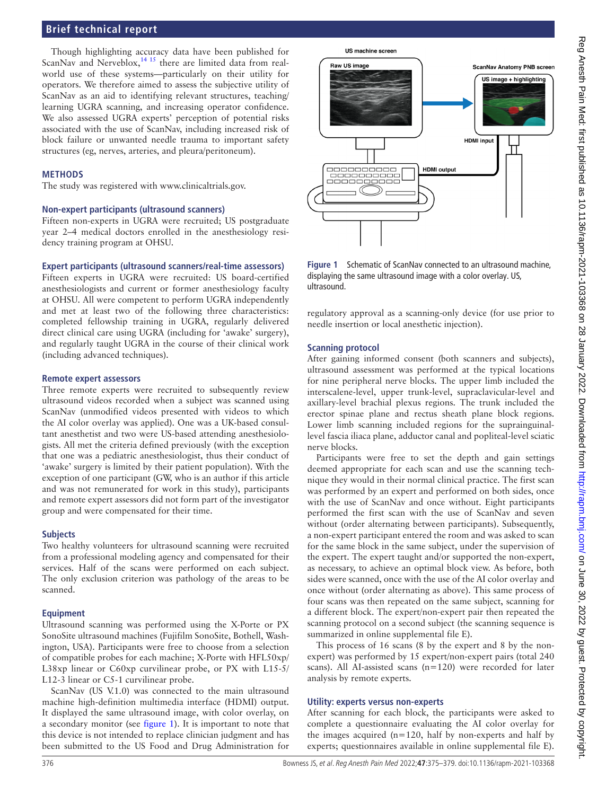## **Brief technical report**

Though highlighting accuracy data have been published for ScanNav and Nerveblox, $14 \times 15$  there are limited data from realworld use of these systems—particularly on their utility for operators. We therefore aimed to assess the subjective utility of ScanNav as an aid to identifying relevant structures, teaching/ learning UGRA scanning, and increasing operator confidence. We also assessed UGRA experts' perception of potential risks associated with the use of ScanNav, including increased risk of block failure or unwanted needle trauma to important safety structures (eg, nerves, arteries, and pleura/peritoneum).

## **METHODS**

The study was registered with <www.clinicaltrials.gov>.

#### **Non-expert participants (ultrasound scanners)**

Fifteen non-experts in UGRA were recruited; US postgraduate year 2–4 medical doctors enrolled in the anesthesiology residency training program at OHSU.

#### **Expert participants (ultrasound scanners/real-time assessors)**

Fifteen experts in UGRA were recruited: US board-certified anesthesiologists and current or former anesthesiology faculty at OHSU. All were competent to perform UGRA independently and met at least two of the following three characteristics: completed fellowship training in UGRA, regularly delivered direct clinical care using UGRA (including for 'awake' surgery), and regularly taught UGRA in the course of their clinical work (including advanced techniques).

#### **Remote expert assessors**

Three remote experts were recruited to subsequently review ultrasound videos recorded when a subject was scanned using ScanNav (unmodified videos presented with videos to which the AI color overlay was applied). One was a UK-based consultant anesthetist and two were US-based attending anesthesiologists. All met the criteria defined previously (with the exception that one was a pediatric anesthesiologist, thus their conduct of 'awake' surgery is limited by their patient population). With the exception of one participant (GW, who is an author if this article and was not remunerated for work in this study), participants and remote expert assessors did not form part of the investigator group and were compensated for their time.

## **Subjects**

Two healthy volunteers for ultrasound scanning were recruited from a professional modeling agency and compensated for their services. Half of the scans were performed on each subject. The only exclusion criterion was pathology of the areas to be scanned.

## **Equipment**

Ultrasound scanning was performed using the X-Porte or PX SonoSite ultrasound machines (Fujifilm SonoSite, Bothell, Washington, USA). Participants were free to choose from a selection of compatible probes for each machine; X-Porte with HFL50xp/ L38xp linear or C60xp curvilinear probe, or PX with L15-5/ L12-3 linear or C5-1 curvilinear probe.

ScanNav (US V.1.0) was connected to the main ultrasound machine high-definition multimedia interface (HDMI) output. It displayed the same ultrasound image, with color overlay, on a secondary monitor (see [figure](#page-1-0) 1). It is important to note that this device is not intended to replace clinician judgment and has been submitted to the US Food and Drug Administration for

US machine screen



<span id="page-1-0"></span>**Figure 1** Schematic of ScanNav connected to an ultrasound machine, displaying the same ultrasound image with a color overlay. US, ultrasound.

regulatory approval as a scanning-only device (for use prior to needle insertion or local anesthetic injection).

## **Scanning protocol**

After gaining informed consent (both scanners and subjects), ultrasound assessment was performed at the typical locations for nine peripheral nerve blocks. The upper limb included the interscalene-level, upper trunk-level, supraclavicular-level and axillary-level brachial plexus regions. The trunk included the erector spinae plane and rectus sheath plane block regions. Lower limb scanning included regions for the suprainguinallevel fascia iliaca plane, adductor canal and popliteal-level sciatic nerve blocks.

Participants were free to set the depth and gain settings deemed appropriate for each scan and use the scanning technique they would in their normal clinical practice. The first scan was performed by an expert and performed on both sides, once with the use of ScanNav and once without. Eight participants performed the first scan with the use of ScanNav and seven without (order alternating between participants). Subsequently, a non-expert participant entered the room and was asked to scan for the same block in the same subject, under the supervision of the expert. The expert taught and/or supported the non-expert, as necessary, to achieve an optimal block view. As before, both sides were scanned, once with the use of the AI color overlay and once without (order alternating as above). This same process of four scans was then repeated on the same subject, scanning for a different block. The expert/non-expert pair then repeated the scanning protocol on a second subject (the scanning sequence is summarized in [online supplemental file E](https://dx.doi.org/10.1136/rapm-2021-103368)).

This process of 16 scans (8 by the expert and 8 by the nonexpert) was performed by 15 expert/non-expert pairs (total 240 scans). All AI-assisted scans (n=120) were recorded for later analysis by remote experts.

## **Utility: experts versus non-experts**

After scanning for each block, the participants were asked to complete a questionnaire evaluating the AI color overlay for the images acquired (n=120, half by non-experts and half by experts; questionnaires available in [online supplemental file E\)](https://dx.doi.org/10.1136/rapm-2021-103368).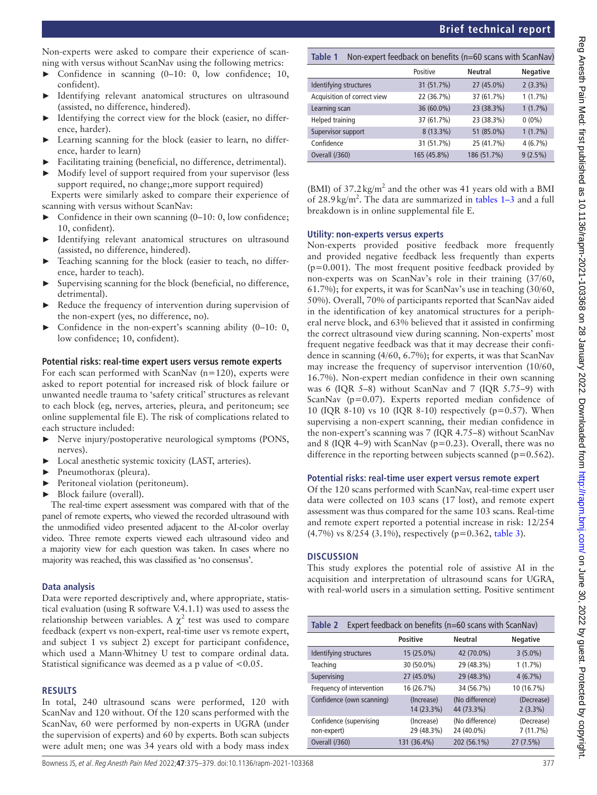## **Brief technical report**

Non-experts were asked to compare their experience of scanning with versus without ScanNav using the following metrics:

- ► Confidence in scanning (0–10: 0, low confidence; 10, confident).
- ► Identifying relevant anatomical structures on ultrasound (assisted, no difference, hindered).
- ► Identifying the correct view for the block (easier, no difference, harder).
- Learning scanning for the block (easier to learn, no difference, harder to learn)
- Facilitating training (beneficial, no difference, detrimental).
- Modify level of support required from your supervisor (less support required, no change;,more support required)

Experts were similarly asked to compare their experience of scanning with versus without ScanNav:

- Confidence in their own scanning  $(0-10: 0, \text{low confidence};$ 10, confident).
- ► Identifying relevant anatomical structures on ultrasound (assisted, no difference, hindered).
- ► Teaching scanning for the block (easier to teach, no difference, harder to teach).
- Supervising scanning for the block (beneficial, no difference, detrimental).
- ► Reduce the frequency of intervention during supervision of the non-expert (yes, no difference, no).
- Confidence in the non-expert's scanning ability  $(0-10: 0, 1)$ low confidence; 10, confident).

## **Potential risks: real-time expert users versus remote experts**

For each scan performed with ScanNav (n=120), experts were asked to report potential for increased risk of block failure or unwanted needle trauma to 'safety critical' structures as relevant to each block (eg, nerves, arteries, pleura, and peritoneum; see [online supplemental file E\)](https://dx.doi.org/10.1136/rapm-2021-103368). The risk of complications related to each structure included:

- ► Nerve injury/postoperative neurological symptoms (PONS, nerves).
- ► Local anesthetic systemic toxicity (LAST, arteries).
- ► Pneumothorax (pleura).
- ► Peritoneal violation (peritoneum).
- ► Block failure (overall).

The real-time expert assessment was compared with that of the panel of remote experts, who viewed the recorded ultrasound with the unmodified video presented adjacent to the AI-color overlay video. Three remote experts viewed each ultrasound video and a majority view for each question was taken. In cases where no majority was reached, this was classified as 'no consensus'.

## **Data analysis**

Data were reported descriptively and, where appropriate, statistical evaluation (using R software V.4.1.1) was used to assess the relationship between variables. A  $\chi^2$  test was used to compare feedback (expert vs non-expert, real-time user vs remote expert, and subject 1 vs subject 2) except for participant confidence, which used a Mann-Whitney U test to compare ordinal data. Statistical significance was deemed as a p value of <0.05.

## **RESULTS**

In total, 240 ultrasound scans were performed, 120 with ScanNav and 120 without. Of the 120 scans performed with the ScanNav, 60 were performed by non-experts in UGRA (under the supervision of experts) and 60 by experts. Both scan subjects were adult men; one was 34 years old with a body mass index

<span id="page-2-0"></span>

| Table 1                     | Non-expert feedback on benefits (n=60 scans with ScanNav) |                |                 |  |  |
|-----------------------------|-----------------------------------------------------------|----------------|-----------------|--|--|
|                             | Positive                                                  | <b>Neutral</b> | <b>Negative</b> |  |  |
| Identifying structures      | 31 (51.7%)                                                | 27 (45.0%)     | $2(3.3\%)$      |  |  |
| Acquisition of correct view | 22 (36.7%)                                                | 37 (61.7%)     | $1(1.7\%)$      |  |  |
| Learning scan               | 36 (60.0%)                                                | 23 (38.3%)     | $1(1.7\%)$      |  |  |
| Helped training             | 37 (61.7%)                                                | 23 (38.3%)     | $0(0\%)$        |  |  |
| Supervisor support          | 8 (13.3%)                                                 | 51 (85.0%)     | $1(1.7\%)$      |  |  |
| Confidence                  | 31 (51.7%)                                                | 25 (41.7%)     | $4(6.7\%)$      |  |  |
| Overall (/360)              | 165 (45.8%)                                               | 186 (51.7%)    | $9(2.5\%)$      |  |  |

(BMI) of  $37.2 \text{ kg/m}^2$  and the other was 41 years old with a BMI of  $28.9 \text{ kg/m}^2$ . The data are summarized in [tables](#page-2-0)  $1-3$  and a full breakdown is in [online supplemental file E](https://dx.doi.org/10.1136/rapm-2021-103368).

## **Utility: non-experts versus experts**

Non-experts provided positive feedback more frequently and provided negative feedback less frequently than experts  $(p=0.001)$ . The most frequent positive feedback provided by non-experts was on ScanNav's role in their training (37/60, 61.7%); for experts, it was for ScanNav's use in teaching (30/60, 50%). Overall, 70% of participants reported that ScanNav aided in the identification of key anatomical structures for a peripheral nerve block, and 63% believed that it assisted in confirming the correct ultrasound view during scanning. Non-experts' most frequent negative feedback was that it may decrease their confidence in scanning (4/60, 6.7%); for experts, it was that ScanNav may increase the frequency of supervisor intervention (10/60, 16.7%). Non-expert median confidence in their own scanning was 6 (IQR 5–8) without ScanNav and 7 (IQR 5.75–9) with ScanNav (p=0.07). Experts reported median confidence of 10 (IQR 8-10) vs 10 (IQR 8-10) respectively ( $p=0.57$ ). When supervising a non-expert scanning, their median confidence in the non-expert's scanning was 7 (IQR 4.75–8) without ScanNav and 8 (IQR 4–9) with ScanNav (p=0.23). Overall, there was no difference in the reporting between subjects scanned ( $p=0.562$ ).

## **Potential risks: real-time user expert versus remote expert**

Of the 120 scans performed with ScanNav, real-time expert user data were collected on 103 scans (17 lost), and remote expert assessment was thus compared for the same 103 scans. Real-time and remote expert reported a potential increase in risk: 12/254 (4.7%) vs 8/254 (3.1%), respectively (p=0.362, [table](#page-3-0) 3).

## **DISCUSSION**

This study explores the potential role of assistive AI in the acquisition and interpretation of ultrasound scans for UGRA, with real-world users in a simulation setting. Positive sentiment

| Table 2<br>Expert feedback on benefits ( $n=60$ scans with ScanNav) |                          |                               |                          |  |  |
|---------------------------------------------------------------------|--------------------------|-------------------------------|--------------------------|--|--|
|                                                                     | <b>Positive</b>          | <b>Neutral</b>                | <b>Negative</b>          |  |  |
| Identifying structures                                              | 15 (25.0%)               | 42 (70.0%)                    | $3(5.0\%)$               |  |  |
| Teaching                                                            | 30 (50.0%)               | 29 (48.3%)                    | $1(1.7\%)$               |  |  |
| Supervising                                                         | 27 (45.0%)               | 29 (48.3%)                    | 4(6.7%)                  |  |  |
| Frequency of intervention                                           | 16 (26.7%)               | 34 (56.7%)                    | 10 (16.7%)               |  |  |
| Confidence (own scanning)                                           | (Increase)<br>14 (23.3%) | (No difference)<br>44 (73.3%) | (Decrease)<br>$2(3.3\%)$ |  |  |
| Confidence (supervising<br>non-expert)                              | (Increase)<br>29 (48.3%) | (No difference)<br>24 (40.0%) | (Decrease)<br>7(11.7%)   |  |  |
| Overall (/360)                                                      | 131 (36.4%)              | 202 (56.1%)                   | 27(7.5%)                 |  |  |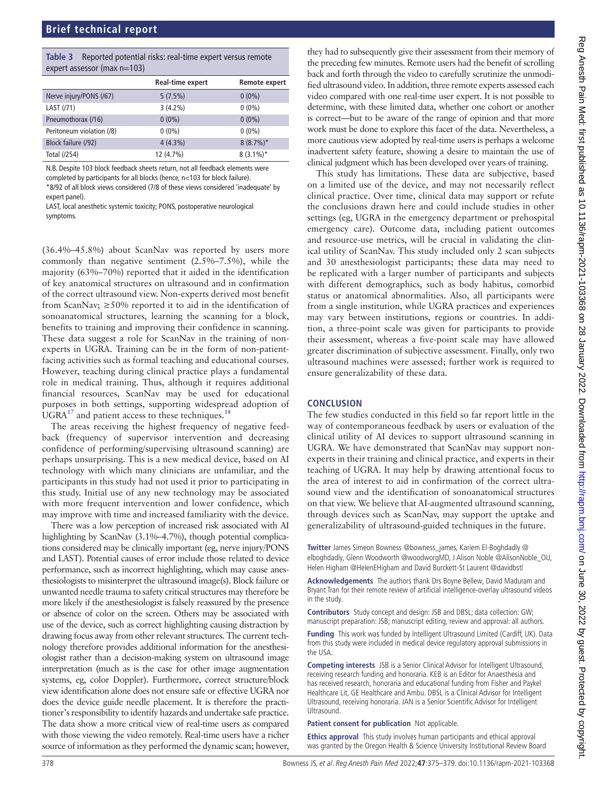<span id="page-3-0"></span>

| Table 3 Reported potential risks: real-time expert versus remote |
|------------------------------------------------------------------|
| expert assessor (max $n=103$ )                                   |

|                           | Real-time expert | Remote expert |
|---------------------------|------------------|---------------|
| Nerve injury/PONS (/67)   | 5(7.5%)          | $0(0\%)$      |
| LAST (/71)                | $3(4.2\%)$       | $0(0\%)$      |
| Pneumothorax (/16)        | $0(0\%)$         | $0(0\%)$      |
| Peritoneum violation (/8) | $0(0\%)$         | $0(0\%)$      |
| Block failure (/92)       | $4(4.3\%)$       | $8(8.7\%)*$   |
| Total (/254)              | 12 (4.7%)        | $8(3.1\%)*$   |

N.B. Despite 103 block feedback sheets return, not all feedback elements were completed by participants for all blocks (hence, n<103 for block failure). \*8/92 of all block views considered (7/8 of these views considered 'inadequate' by expert panel).

LAST, local anesthetic systemic toxicity; PONS, postoperative neurological symptoms.

(36.4%–45.8%) about ScanNav was reported by users more commonly than negative sentiment (2.5%–7.5%), while the majority (63%–70%) reported that it aided in the identification of key anatomical structures on ultrasound and in confirmation of the correct ultrasound view. Non-experts derived most benefit from ScanNav;  $\geq 50\%$  reported it to aid in the identification of sonoanatomical structures, learning the scanning for a block, benefits to training and improving their confidence in scanning. These data suggest a role for ScanNav in the training of nonexperts in UGRA. Training can be in the form of non-patientfacing activities such as formal teaching and educational courses. However, teaching during clinical practice plays a fundamental role in medical training. Thus, although it requires additional financial resources, ScanNav may be used for educational purposes in both settings, supporting widespread adoption of  $UGRA<sup>17</sup>$  and patient access to these techniques.<sup>[18](#page-4-11)</sup>

The areas receiving the highest frequency of negative feedback (frequency of supervisor intervention and decreasing confidence of performing/supervising ultrasound scanning) are perhaps unsurprising. This is a new medical device, based on AI technology with which many clinicians are unfamiliar, and the participants in this study had not used it prior to participating in this study. Initial use of any new technology may be associated with more frequent intervention and lower confidence, which may improve with time and increased familiarity with the device.

There was a low perception of increased risk associated with AI highlighting by ScanNav (3.1%–4.7%), though potential complications considered may be clinically important (eg, nerve injury/PONS and LAST). Potential causes of error include those related to device performance, such as incorrect highlighting, which may cause anesthesiologists to misinterpret the ultrasound image(s). Block failure or unwanted needle trauma to safety critical structures may therefore be more likely if the anesthesiologist is falsely reassured by the presence or absence of color on the screen. Others may be associated with use of the device, such as correct highlighting causing distraction by drawing focus away from other relevant structures. The current technology therefore provides additional information for the anesthesiologist rather than a decision-making system on ultrasound image interpretation (much as is the case for other image augmentation systems, eg, color Doppler). Furthermore, correct structure/block view identification alone does not ensure safe or effective UGRA nor does the device guide needle placement. It is therefore the practitioner's responsibility to identify hazards and undertake safe practice. The data show a more critical view of real-time users as compared with those viewing the video remotely. Real-time users have a richer source of information as they performed the dynamic scan; however,

they had to subsequently give their assessment from their memory of the preceding few minutes. Remote users had the benefit of scrolling back and forth through the video to carefully scrutinize the unmodified ultrasound video. In addition, three remote experts assessed each video compared with one real-time user expert. It is not possible to determine, with these limited data, whether one cohort or another is correct—but to be aware of the range of opinion and that more work must be done to explore this facet of the data. Nevertheless, a more cautious view adopted by real-time users is perhaps a welcome inadvertent safety feature, showing a desire to maintain the use of clinical judgment which has been developed over years of training.

This study has limitations. These data are subjective, based on a limited use of the device, and may not necessarily reflect clinical practice. Over time, clinical data may support or refute the conclusions drawn here and could include studies in other settings (eg, UGRA in the emergency department or prehospital emergency care). Outcome data, including patient outcomes and resource-use metrics, will be crucial in validating the clinical utility of ScanNav. This study included only 2 scan subjects and 30 anesthesiologist participants; these data may need to be replicated with a larger number of participants and subjects with different demographics, such as body habitus, comorbid status or anatomical abnormalities. Also, all participants were from a single institution, while UGRA practices and experiences may vary between institutions, regions or countries. In addition, a three-point scale was given for participants to provide their assessment, whereas a five-point scale may have allowed greater discrimination of subjective assessment. Finally, only two ultrasound machines were assessed; further work is required to ensure generalizability of these data.

## **CONCLUSION**

The few studies conducted in this field so far report little in the way of contemporaneous feedback by users or evaluation of the clinical utility of AI devices to support ultrasound scanning in UGRA. We have demonstrated that ScanNav may support nonexperts in their training and clinical practice, and experts in their teaching of UGRA. It may help by drawing attentional focus to the area of interest to aid in confirmation of the correct ultrasound view and the identification of sonoanatomical structures on that view. We believe that AI-augmented ultrasound scanning, through devices such as ScanNav, may support the uptake and generalizability of ultrasound-guided techniques in the future.

**Twitter** James Simeon Bowness [@bowness\\_james](https://twitter.com/bowness_james), Kariem El-Boghdadly [@](https://twitter.com/elboghdadly) [elboghdadly](https://twitter.com/elboghdadly), Glenn Woodworth [@woodworgMD](https://twitter.com/woodworgMD), J Alison Noble [@AlisonNoble\\_OU](https://twitter.com/AlisonNoble_OU), Helen Higham [@HelenEHigham](https://twitter.com/HelenEHigham) and David Burckett-St Laurent [@davidbstl](https://twitter.com/davidbstl)

**Acknowledgements** The authors thank Drs Boyne Bellew, David Maduram and Bryant Tran for their remote review of artificial intelligence-overlay ultrasound videos in the study.

**Contributors** Study concept and design: JSB and DBSL; data collection: GW; manuscript preparation: JSB; manuscript editing, review and approval: all authors.

**Funding** This work was funded by Intelligent Ultrasound Limited (Cardiff, UK). Data from this study were included in medical device regulatory approval submissions in the USA.

**Competing interests** JSB is a Senior Clinical Advisor for Intelligent Ultrasound, receiving research funding and honoraria. KEB is an Editor for Anaesthesia and has received research, honoraria and educational funding from Fisher and Paykel Healthcare Lit, GE Healthcare and Ambu. DBSL is a Clinical Advisor for Intelligent Ultrasound, receiving honoraria. JAN is a Senior Scientific Advisor for Intelligent Ultrasound.

**Patient consent for publication** Not applicable.

**Ethics approval** This study involves human participants and ethical approval was granted by the Oregon Health & Science University Institutional Review Board